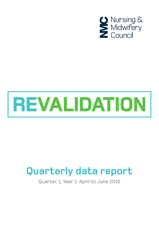

# REVALIDATION

# **Quarterly data report**

Quarter 1, Year 1: April to June 2016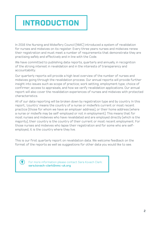# **INTRODUCTION**

In 2016 the Nursing and Midwifery Council (NMC) introduced a system of revalidation for nurses and midwives on its register. Every three years nurses and midwives renew their registration and must meet a number of requirements that demonstrate they are practising safely and effectively and in line with the Code.

We have committed to publishing data reports, quarterly and annually, in recognition of the strong interest in revalidation and in the interests of transparency and accountability.

Our quarterly reports will provide a high level overview of the number of nurses and midwives going through the revalidation process. Our annual reports will provide further insight into issues such as scope of practice; work setting; employment type; choice of confirmer; access to appraisals, and how we verify revalidation applications. Our annual report will also cover the revalidation experiences of nurses and midwives with protected characteristics.

All of our data reporting will be broken down by registration type and by country. In this report, 'country' means the country of a nurse or midwife's current or most recent practice (those for whom we have an employer address), or their home address (where a nurse or midwife may be self-employed or not in employment). This means that for most nurses and midwives who have revalidated and are employed directly (which is the majority), their country is the country of their current or most recent employment. For those nurses and midwives who lapse their registration and for some who are selfemployed, it is the country where they live.

This is our first quarterly report on revalidation data. We welcome feedback on the format of the reports as well as suggestions for other data you would like to see.



For more information please contact Sara Kovach Clark: **[sara.kovach-clark@nmc-uk.org](mailto:sara.kovach-clark%40nmc-uk.org?subject=)**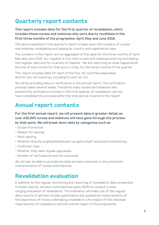# **Quarterly report contents**

**This report includes data for the first quarter of revalidation, which includes those nurses and midwives who were due to revalidate in the first three months of the programme: April, May and June 2016.**

The data presented in this quarterly report breaks down the numbers of nurses and midwives revalidating and lapsing by country and registration type.

The numbers in this report are an aggregate of the data for the three months of April, May and June 2016. Our register is 'live', with nurses and midwives entering and leaving the register daily and for a variety of reasons. We are reporting on what happened at the end of each month for that point in time, for the three months of the quarter.

This report includes data for each of the four UK countries separately and for non-UK countries, including EU and non-EU.

We will be providing data on verification in the annual report. The verification process takes several weeks. Therefore many nurses and midwives who started the verification process in the first quarter of revalidation will not have completed the process within the time period covered in this report.

### **Annual report contents**

**For the first annual report, we will present data in greater detail, as over 200,000 nurses and midwives will have gone through the process by that point. We will break down data by categories such as:**

- Scope of practice
- Reason for lapsing
- Work setting
- Whether directly employed/employed via agency/self-employed/volunteering
- Confirmer type
- Whether they have regular appraisals
- Number of verifications and the outcomes

We will also be able to provide the data we have collected on the protected characteristics of nurses and midwives.

### **Revalidation evaluation**

In addition to the regular monitoring and reporting of revalidation data presented in these reports, we have commissioned Ipsos MORI to conduct a wideranging evaluation of revalidation. This evaluation will make use of the regular data reports. It will also include quantitative and qualitative measurements of the experience of those undertaking revalidation, the impact of the individual requirements of revalidation and the overall impact of the programme.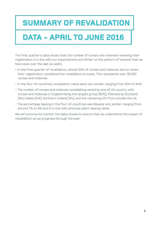# **SUMMARY OF REVALIDATION**

# **DATA - APRIL TO JUNE 2016**

The first quarter's data shows that the number of nurses and midwives renewing their registration is in line with our expectations and similar to the pattern of renewal that we have seen over the last six years.

- In the first quarter of revalidation, almost 91% of nurses and midwives due to renew their registration completed the revalidation process. This represents over 35,000 nurses and midwives.
- In the four UK countries, revalidation rates were very similar, ranging from 91% to 94%.
- The number of nurses and midwives revalidating varied by size of UK country, with nurses and midwives in England being the largest group (80%); followed by Scotland (9%); Wales (5%); Northern Ireland (4%), and the remaining 2% from outside the UK.
- The percentage lapsing in the four UK countries was likewise very similar, ranging from around 7% to 9% and is in line with previous years' lapsing rates.

We will continue to monitor the data closely to ensure that we understand the impact of revalidation as we progress through the year.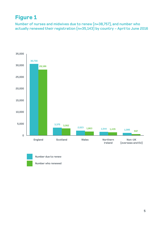# **Figure 1**

**Number of nurses and midwives due to renew (n=38,757), and number who actually renewed their registration (n=35,143) by country - April to June 2016**





**Number who renewed**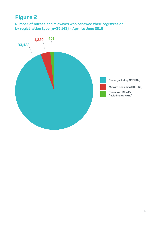# **Figure 2**

**Number of nurses and midwives who renewed their registration by registration type (n=35,143) - April to June 2016**

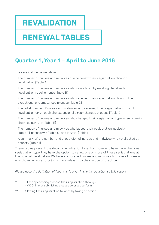# **REVALIDATION**

# **RENEWAL TABLES**

# **Quarter 1, Year 1 - April to June 2016**

The revalidation tables show:

- The number of nurses and midwives due to renew their registration through revalidation (Table A)
- The number of nurses and midwives who revalidated by meeting the standard revalidation requirements (Table B)
- The number of nurses and midwives who renewed their registration through the exceptional circumstances process (Table C)
- The total number of nurses and midwives who renewed their registration through revalidation or through the exceptional circumstances process (Table D)
- The number of nurses and midwives who changed their registration type when renewing their registration (Table E)
- The number of nurses and midwives who lapsed their registration: actively\* (Table F), passively\*\* (Table G) and in total (Table H)
- A summary of the number and proportion of nurses and midwives who revalidated by country (Table I)

These tables present the data by registration type. For those who have more than one registration type, they have the option to renew one or more of these registrations at the point of revalidation. We have encouraged nurses and midwives to choose to renew only those registration(s) which are relevant to their scope of practice.

*Please note the definition of 'country' is given in the Introduction to this report.*

- \* Either by choosing to lapse their registration through NMC Online or submitting a cease to practise form.
- \*\* Allowing their registration to lapse by taking no action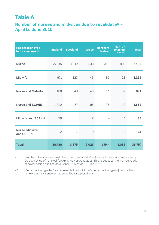# **Table A**

#### **Number of nurses and midwives due to revalidate\* - April to June 2016**

| <b>Registration type</b><br>before renewal** | <b>England</b> | <b>Scotland</b> | <b>Wales</b>   | <b>Northern</b><br><b>Ireland</b> | Non-UK<br>(Overseas<br>and EU) | <b>Total</b> |
|----------------------------------------------|----------------|-----------------|----------------|-----------------------------------|--------------------------------|--------------|
| <b>Nurse</b>                                 | 27,915         | 3,042           | 1,833          | 1,345                             | 999                            | 35,134       |
| <b>Midwife</b>                               | 971            | 123             | 45             | 89                                | 28                             | 1,256        |
| <b>Nurse and Midwife</b>                     | 460            | 48              | 46             | 31                                | 39                             | 624          |
| <b>Nurse and SCPHN</b>                       | 1,322          | 157             | 95             | 76                                | 18                             | 1,668        |
| <b>Midwife and SCPHN</b>                     | 30             | $\mathbf 1$     | $\overline{c}$ |                                   | $\mathbf 1$                    | 34           |
| Nurse, Midwife<br>and SCPHN                  | 32             | $\overline{4}$  | $\mathsf{S}$   | 3                                 |                                | 41           |
| <b>Total</b>                                 | 30,730         | 3,375           | 2,023          | 1,544                             | 1,085                          | 38,757       |

\* 'Number of nurses and midwives due to revalidate' includes all those who were sent a 90 day notice of renewal for April, May or June 2016. This is because their three yearly renewal period expired on 30 April, 31 May or 30 June 2016.

\*\* 'Registration type before renewal' is the individual's registration type(s) before they renew, partially renew or lapse all their registrations.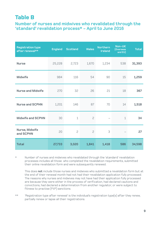### **Table B**

**Number of nurses and midwives who revalidated through the 'standard' revalidation process\* - April to June 2016**

| <b>Registration type</b><br>after renewal** | <b>England</b> | <b>Scotland</b> | <b>Wales</b>   | <b>Northern</b><br><b>Ireland</b> | Non-UK<br>(Overseas)<br>and EU) | <b>Total</b> |
|---------------------------------------------|----------------|-----------------|----------------|-----------------------------------|---------------------------------|--------------|
| <b>Nurse</b>                                | 25,228         | 2,723           | 1,670          | 1,234                             | 538                             | 31,393       |
| <b>Midwife</b>                              | 984            | 116             | 54             | 90                                | 15                              | 1,259        |
| <b>Nurse and Midwife</b>                    | 270            | 32              | 26             | 21                                | 18                              | 367          |
| <b>Nurse and SCPHN</b>                      | 1,201          | 146             | 87             | 70                                | 14                              | 1,518        |
| <b>Midwife and SCPHN</b>                    | 30             | $\mathbf 1$     | $\mathsf{S}$   |                                   | $\mathbf 1$                     | 34           |
| Nurse, Midwife<br>and SCPHN                 | 20             | $\mathsf{S}$    | $\overline{c}$ | 3                                 |                                 | 27           |
| <b>Total</b>                                | 27,733         | 3,020           | 1,841          | 1,418                             | 586                             | 34,598       |

\* Number of nurses and midwives who revalidated through the 'standard' revalidation processes includes all those who completed the revalidation requirements, submitted their online revalidation form and were subsequently renewed.

This does **not** include those nurses and midwives who submitted a revalidation form but at the end of their renewal month had not had their revalidation application fully processed. The reasons why nurses and midwives may not have had their application fully processed are because they were either in the process of verification, had declared cautions and convictions, had declared a determination from another regulator, or were subject to fitness to practise (FtP) sanctions.

\*\* 'Registration type after renewal' is the individual's registration type(s) after they renew, partially renew or lapse all their registrations.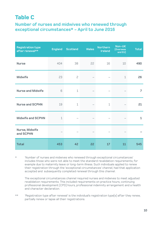# **Table C**

#### **Number of nurses and midwives who renewed through exceptional circumstances\* - April to June 2016**

| <b>Registration type</b><br>after renewal** | <b>England</b> | <b>Scotland</b> | <b>Wales</b> | <b>Northern</b><br><b>Ireland</b> | Non-UK<br>(Overseas)<br>and EU) | <b>Total</b>   |
|---------------------------------------------|----------------|-----------------|--------------|-----------------------------------|---------------------------------|----------------|
| <b>Nurse</b>                                | 404            | 38              | 22           | 16                                | 10                              | 490            |
| <b>Midwife</b>                              | 23             | $\mathsf{S}$    |              |                                   | $\mathbf 1$                     | 26             |
| <b>Nurse and Midwife</b>                    | 6              | $1\,$           |              |                                   |                                 | $\overline{7}$ |
| <b>Nurse and SCPHN</b>                      | 19             | $\mathbf 1$     |              | $\mathbf 1$                       |                                 | 21             |
| <b>Midwife and SCPHN</b>                    | $\mathbf 1$    |                 |              |                                   |                                 | $\mathbf{1}$   |
| Nurse, Midwife<br>and SCPHN                 |                |                 |              |                                   |                                 |                |
| <b>Total</b>                                | 453            | 42              | <b>22</b>    | 17                                | 11                              | 545            |

\* 'Number of nurses and midwives who renewed through exceptional circumstances' includes those who were not able to meet the standard revalidation requirements, for example due to maternity leave or long-term illness. Such individuals applied to renew their registration through the 'exceptional circumstances' channel, had that application accepted and subsequently completed renewal through this channel.

 The exceptional circumstances channel required nurses and midwives to meet adjusted revalidation requirements. This included requirements on practice hours, continuing professional development (CPD) hours, professional indemnity arrangement and a health and character declaration.

\*\* 'Registration type after renewal' is the individual's registration type(s) after they renew, partially renew or lapse all their registrations.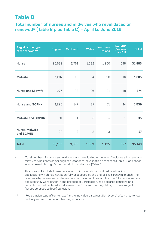### **Table D**

#### **Total number of nurses and midwives who revalidated or renewed\* (Table B plus Table C) - April to June 2016**

| <b>Registration type</b><br>after renewal** | <b>England</b> | <b>Scotland</b> | <b>Wales</b> | <b>Northern</b><br><b>Ireland</b> | Non-UK<br>(Overseas<br>and EU) | <b>Total</b> |
|---------------------------------------------|----------------|-----------------|--------------|-----------------------------------|--------------------------------|--------------|
| <b>Nurse</b>                                | 25,632         | 2,761           | 1,692        | 1,250                             | 548                            | 31,883       |
| <b>Midwife</b>                              | 1,007          | 118             | 54           | 90                                | 16                             | 1,285        |
| <b>Nurse and Midwife</b>                    | 276            | 33              | 26           | 21                                | 18                             | 374          |
| <b>Nurse and SCPHN</b>                      | 1,220          | 147             | 87           | 71                                | 14                             | 1,539        |
| <b>Midwife and SCPHN</b>                    | 31             | $\mathbf 1$     | $\mathsf{S}$ |                                   | $\mathbf 1$                    | 35           |
| Nurse, Midwife<br>and SCPHN                 | 20             | $\mathsf{S}$    | $\mathsf{S}$ | 3                                 |                                | 27           |
| <b>Total</b>                                | 28,186         | 3,062           | 1,863        | 1,435                             | 597                            | 35,143       |

\* 'Total number of nurses and midwives who revalidated or renewed' includes all nurses and midwives who renewed through the 'standard' revalidation processes (Table B) and those who renewed through 'exceptional circumstances' (Table C).

This does **not** include those nurses and midwives who submitted revalidation applications which had not been fully processed by the end of their renewal month. The reasons why nurses and midwives may not have had their application fully processed are because they were either in the process of verification, had declared cautions and convictions, had declared a determination from another regulator; or were subject to fitness to practise (FtP) sanctions.

\*\* 'Registration type after renewal' is the individual's registration type(s) after they renew, partially renew or lapse all their registrations.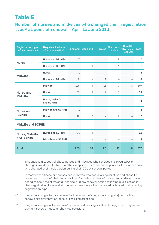### **Table E**

**Number of nurses and midwives who changed their registration type\* at point of renewal - April to June 2016**

| <b>Registration type</b><br>before renewal** | <b>Registration type</b><br>after renewal*** |                 | <b>England Scotland</b> | <b>Wales</b>             | <b>Northern</b><br><b>Ireland</b> | Non-UK<br>(Overseas<br>and EU)                                                            | <b>Total</b>   |
|----------------------------------------------|----------------------------------------------|-----------------|-------------------------|--------------------------|-----------------------------------|-------------------------------------------------------------------------------------------|----------------|
| <b>Nurse</b>                                 | <b>Nurse and Midwife</b>                     | 7               |                         | $\qquad \qquad -$        | 2                                 | 1                                                                                         | 10             |
|                                              | <b>Nurse and SCPHN</b>                       | $\overline{4}$  | 3                       |                          | $\mathbf 1$                       | $\mathbf 1$<br>3<br>$\overline{7}$<br>5<br>1<br>2<br>$\equiv$<br>$\overline{\phantom{0}}$ | 9              |
|                                              | <b>Nurse</b>                                 | $\mathbf 1$     |                         |                          |                                   |                                                                                           | $\mathbf{1}$   |
| <b>Midwife</b>                               | <b>Nurse and Midwife</b>                     | 6               |                         | $\mathbf 1$              |                                   |                                                                                           | $\overline{7}$ |
|                                              | <b>Midwife</b>                               | 126             | 6                       | 15                       |                                   |                                                                                           | 157            |
| <b>Nurse and</b><br><b>Midwife</b>           | <b>Nurse</b>                                 | 39              | 5                       | $\overline{4}$           |                                   |                                                                                           | 54             |
|                                              | Nurse, Midwife<br>and SCPHN                  | $\mathbf 1$     |                         |                          |                                   |                                                                                           | $\mathbf{1}$   |
| <b>Nurse and</b>                             | <b>Midwife and SCPHN</b>                     | $\mathbf 1$     |                         |                          |                                   |                                                                                           | 1              |
| <b>SCPHN</b>                                 | <b>Nurse</b>                                 | 12 <sup>°</sup> | 2                       |                          |                                   |                                                                                           | 16             |
| <b>Midwife and SCPHN</b>                     |                                              |                 |                         |                          |                                   |                                                                                           |                |
| Nurse, Midwife                               | <b>Nurse and SCPHN</b>                       | 11              | 2                       |                          |                                   |                                                                                           | 13             |
| and SCPHN                                    | <b>Midwife and SCPHN</b>                     | $\mathbf 1$     |                         | $\overline{\phantom{0}}$ |                                   |                                                                                           | $\mathbf{1}$   |
| <b>Total</b>                                 |                                              | 209             | 18                      | 20                       | 17                                | 6                                                                                         | 270            |

\* This table is a subset of those nurses and midwives who renewed their registration through revalidation (Table D) or the exceptional circumstances process. It includes those who changed their registration during their 90 day renewal period.

In many cases, these are nurses and midwives who had dual registration and chose to lapse one or more of their registrations. A smaller number of nurses and midwives have added to their registration during their 90 day renewal period following qualification in that registration type, and at the same time have either renewed or lapsed their existing registration type.

- \*\* 'Registration type before renewal' is the individual's registration type(s) before they renew, partially renew or lapse all their registrations.
- \*\*\* 'Registration type after renewal' is the individual's registration type(s) after they renew, partially renew or lapse all their registrations. **<sup>12</sup>**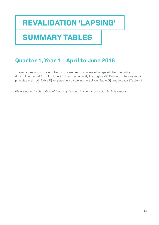# **REVALIDATION 'LAPSING'**

# **SUMMARY TABLES**

# **Quarter 1, Year 1 - April to June 2016**

These tables show the number of nurses and midwives who lapsed their registration during the period April to June 2016, either actively through NMC Online or the cease to practise method (Table F); or passively by taking no action (Table G); and in total (Table H).

*Please note the definition of 'country' is given in the introduction to this report.*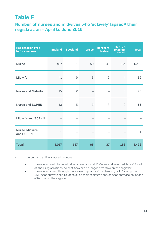# **Table F**

#### **Number of nurses and midwives who 'actively' lapsed\* their registration - April to June 2016**

| <b>Registration type</b><br>before renewal | <b>England</b> | <b>Scotland</b> | <b>Wales</b> | <b>Northern</b><br><b>Ireland</b> | Non-UK<br>(Overseas)<br>and EU) | <b>Total</b> |
|--------------------------------------------|----------------|-----------------|--------------|-----------------------------------|---------------------------------|--------------|
| <b>Nurse</b>                               | 917            | 121             | 59           | 32                                | 154                             | 1,283        |
| <b>Midwife</b>                             | 41             | 9               | 3            | $\overline{c}$                    | $\overline{4}$                  | 59           |
| <b>Nurse and Midwife</b>                   | 15             | 2               |              |                                   | 6                               | 23           |
| <b>Nurse and SCPHN</b>                     | 43             | 5               | 3            | 3                                 | 2                               | 56           |
| <b>Midwife and SCPHN</b>                   |                |                 |              |                                   |                                 |              |
| Nurse, Midwife<br>and SCPHN                | $\mathbf 1$    |                 |              |                                   |                                 | $\mathbf{1}$ |
| <b>Total</b>                               | 1,017          | 137             | 65           | 37                                | 166                             | 1,422        |

\* Number who actively lapsed includes:

- those who used the revalidation screens on NMC Online and selected 'lapse' for all of their registrations, so that they are no longer effective on the register.
- those who lapsed through the 'cease to practise' mechanism, by informing the NMC that they wished to lapse all of their registrations, so that they are no longer effective on the register.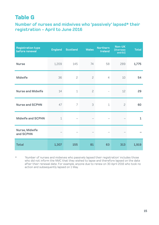### **Table G**

**Number of nurses and midwives who 'passively' lapsed\* their registration - April to June 2016**

| <b>Registration type</b><br>before renewal | <b>England</b> | <b>Scotland</b> | <b>Wales</b> | <b>Northern</b><br><b>Ireland</b> | Non-UK<br>(Overseas)<br>and EU) | <b>Total</b> |
|--------------------------------------------|----------------|-----------------|--------------|-----------------------------------|---------------------------------|--------------|
| <b>Nurse</b>                               | 1,209          | 145             | 74           | 58                                | 289                             | 1,775        |
| <b>Midwife</b>                             | 36             | $\overline{c}$  | $\mathsf{S}$ | $\overline{4}$                    | 10                              | 54           |
| <b>Nurse and Midwife</b>                   | 14             | $\mathbf 1$     | $\mathsf{S}$ |                                   | 12                              | 29           |
| <b>Nurse and SCPHN</b>                     | 47             | $\overline{ }$  | 3            | $\mathbf 1$                       | $\mathsf{S}$                    | 60           |
| <b>Midwife and SCPHN</b>                   | $\mathbf 1$    |                 |              |                                   |                                 | $\mathbf{1}$ |
| Nurse, Midwife<br>and SCPHN                |                |                 |              |                                   |                                 |              |
| <b>Total</b>                               | 1,307          | 155             | 81           | 63                                | 313                             | 1,919        |

\* 'Number of nurses and midwives who passively lapsed their registration' includes those who did not inform the NMC that they wished to lapse and therefore lapsed on the date after their renewal date. For example, anyone due to renew on 30 April 2016 who took no action and subsequently lapsed on 1 May.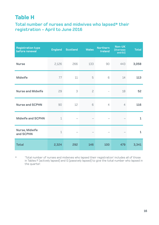# **Table H**

#### **Total number of nurses and midwives who lapsed\* their registration - April to June 2016**

| <b>Registration type</b><br>before renewal | <b>England</b> | <b>Scotland</b> | Wales        | <b>Northern</b><br><b>Ireland</b> | Non-UK<br>(Overseas)<br>and EU) | <b>Total</b> |
|--------------------------------------------|----------------|-----------------|--------------|-----------------------------------|---------------------------------|--------------|
| <b>Nurse</b>                               | 2,126          | 266             | 133          | 90                                | 443                             | 3,058        |
| <b>Midwife</b>                             | 77             | 11              | 5            | 6                                 | 14                              | 113          |
| <b>Nurse and Midwife</b>                   | 29             | 3               | $\mathsf{S}$ | $\qquad \qquad -$                 | 18                              | 52           |
| <b>Nurse and SCPHN</b>                     | 90             | 12              | 6            | $\overline{4}$                    | $\overline{4}$                  | 116          |
| <b>Midwife and SCPHN</b>                   | $\mathbf 1$    |                 |              |                                   |                                 | $\mathbf{1}$ |
| Nurse, Midwife<br>and SCPHN                | $\mathbf 1$    |                 |              |                                   |                                 | $\mathbf{1}$ |
| <b>Total</b>                               | 2,324          | 292             | 146          | 100                               | 479                             | 3,341        |

 $*$  'Total number of nurses and midwives who lapsed their registration' includes all of those in Tables F (actively lapsed) and G (passively lapsed) to give the total number who lapsed in the quarter.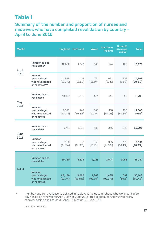### **Table I**

#### **Summary of the number and proportion of nurses and midwives who have completed revalidation by country - April to June 2016**

| <b>Month</b>         |                                                                  | <b>England</b>       | <b>Scotland</b>     | <b>Wales</b>        | <b>Northern</b><br><b>Ireland</b> | Non-UK<br>(Overseas<br>and EU) | <b>Total</b>         |
|----------------------|------------------------------------------------------------------|----------------------|---------------------|---------------------|-----------------------------------|--------------------------------|----------------------|
| <b>April</b><br>2016 | Number due to<br>revalidate*                                     | 12,632               | 1,248               | 843                 | 744                               | 405                            | 15,872               |
|                      | <b>Number</b><br>(percentage)<br>who revalidated<br>or renewed** | 11,535<br>$(91.3\%)$ | 1,137<br>$(91.1\%)$ | 771<br>$(91.5\%)$   | 692<br>(93%)                      | 227<br>(56%)                   | 14,362<br>$(90.5\%)$ |
| May<br>2016          | Number due to<br>revalidate                                      | 10,347               | 1,055               | 591                 | 444                               | 353                            | 12,790               |
|                      | <b>Number</b><br>(percentage)<br>who revalidated<br>or renewed   | 9,543<br>$(92.2\%)$  | 947<br>(89.8%)      | 540<br>$(91.4\%)$   | 418<br>$(94.1\%)$                 | 192<br>$(54.4\%)$              | 11,640<br>(91%)      |
| June<br>2016         | Number due to<br>revalidate                                      | 7,751                | 1,072               | 589                 | 356                               | 327                            | 10,095               |
|                      | <b>Number</b><br>(percentage)<br>who revalidated<br>or renewed   | 7,108<br>$(91.7\%)$  | 978<br>$(91.3\%)$   | 552<br>(93.7%)      | 325<br>$(91.3\%)$                 | 178<br>$(54.4\%)$              | 9,141<br>$(90.5\%)$  |
| <b>Total</b>         | Number due to<br>revalidate                                      | 30,730               | 3,375               | 2,023               | 1,544                             | 1,085                          | 38,757               |
|                      | <b>Number</b><br>(percentage)<br>who revalidated<br>or renewed   | 28,186<br>(91.7%)    | 3,062<br>$(90.8\%)$ | 1,863<br>$(92.1\%)$ | 1,435<br>(92.9%                   | 597<br>(55%)                   | 35,143<br>(90.7%)    |

 \* 'Number due to revalidate' is defined in Table A. It includes all those who were sent a 90 day notice of renewal for April, May or June 2016. This is because their three yearly renewal period expired on 30 April, 31 May or 30 June 2016.

*Continues overleaf...*